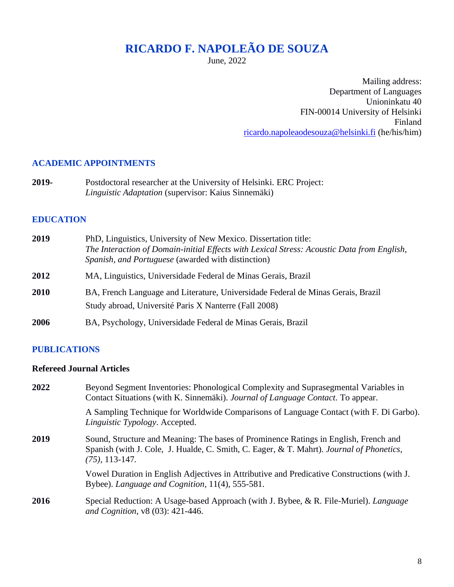# **RICARDO F. NAPOLEÃO DE SOUZA**

June, 2022

Mailing address: Department of Languages Unioninkatu 40 FIN-00014 University of Helsinki Finland [ricardo.napoleaodesouza@helsinki.fi](mailto:ricardo.napoleaodesouza@helsinki.fi) (he/his/him)

#### **ACADEMIC APPOINTMENTS**

**2019-** Postdoctoral researcher at the University of Helsinki. ERC Project: *Linguistic Adaptation* (supervisor: Kaius Sinnemäki)

## **EDUCATION**

| 2019 | PhD, Linguistics, University of New Mexico. Dissertation title:<br>The Interaction of Domain-initial Effects with Lexical Stress: Acoustic Data from English,<br>Spanish, and Portuguese (awarded with distinction) |
|------|---------------------------------------------------------------------------------------------------------------------------------------------------------------------------------------------------------------------|
| 2012 | MA, Linguistics, Universidade Federal de Minas Gerais, Brazil                                                                                                                                                       |
| 2010 | BA, French Language and Literature, Universidade Federal de Minas Gerais, Brazil<br>Study abroad, Université Paris X Nanterre (Fall 2008)                                                                           |
| 2006 | BA, Psychology, Universidade Federal de Minas Gerais, Brazil                                                                                                                                                        |

## **PUBLICATIONS**

## **Refereed Journal Articles**

| 2022 | Beyond Segment Inventories: Phonological Complexity and Suprasegmental Variables in<br>Contact Situations (with K. Sinnemäki). Journal of Language Contact. To appear.                                |
|------|-------------------------------------------------------------------------------------------------------------------------------------------------------------------------------------------------------|
|      | A Sampling Technique for Worldwide Comparisons of Language Contact (with F. Di Garbo).<br>Linguistic Typology. Accepted.                                                                              |
| 2019 | Sound, Structure and Meaning: The bases of Prominence Ratings in English, French and<br>Spanish (with J. Cole, J. Hualde, C. Smith, C. Eager, & T. Mahrt). Journal of Phonetics,<br>$(75)$ , 113-147. |
|      | Vowel Duration in English Adjectives in Attributive and Predicative Constructions (with J.<br>Bybee). Language and Cognition, 11(4), 555-581.                                                         |
| 2016 | Special Reduction: A Usage-based Approach (with J. Bybee, & R. File-Muriel). Language<br>and Cognition, v8 (03): 421-446.                                                                             |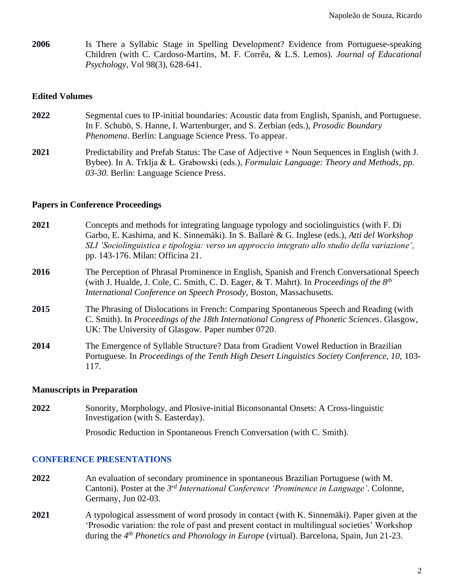**2006** Is There a Syllabic Stage in Spelling Development? Evidence from Portuguese-speaking Children (with C. Cardoso-Martins, M. F. Corrêa, & L.S. Lemos)*. Journal of Educational Psychology*, Vol 98(3), 628-641.

#### **Edited Volumes**

**2022** Segmental cues to IP-initial boundaries: Acoustic data from English, Spanish, and Portuguese. In F. Schubö, S. Hanne, I. Wartenburger, and S. Zerbian (eds.), *Prosodic Boundary Phenomena*. Berlin: Language Science Press. To appear. **2021** Predictability and Prefab Status: The Case of Adjective + Noun Sequences in English (with J. Bybee). In A. Trklja & Ł. Grabowski (eds.), *Formulaic Language: Theory and Methods, pp.* 

#### **Papers in Conference Proceedings**

*03-30.* Berlin: Language Science Press.

| 2021 | Concepts and methods for integrating language typology and sociolinguistics (with F. Di<br>Garbo, E. Kashima, and K. Sinnemäki). In S. Ballarè & G. Inglese (eds.), Atti del Workshop<br>SLI 'Sociolinguistica e tipologia: verso un approccio integrato allo studio della variazione',<br>pp. 143-176. Milan: Officina 21. |
|------|-----------------------------------------------------------------------------------------------------------------------------------------------------------------------------------------------------------------------------------------------------------------------------------------------------------------------------|
| 2016 | The Perception of Phrasal Prominence in English, Spanish and French Conversational Speech<br>(with J. Hualde, J. Cole, C. Smith, C. D. Eager, & T. Mahrt). In <i>Proceedings of the <math>8th</math></i><br>International Conference on Speech Prosody, Boston, Massachusetts.                                              |
| 2015 | The Phrasing of Dislocations in French: Comparing Spontaneous Speech and Reading (with<br>C. Smith). In Proceedings of the 18th International Congress of Phonetic Sciences. Glasgow,<br>UK: The University of Glasgow. Paper number 0720.                                                                                  |
| 2014 | The Emergence of Syllable Structure? Data from Gradient Vowel Reduction in Brazilian<br>Portuguese. In Proceedings of the Tenth High Desert Linguistics Society Conference, 10, 103-<br>117.                                                                                                                                |

#### **Manuscripts in Preparation**

**2022** Sonority, Morphology, and Plosive-initial Biconsonantal Onsets: A Cross-linguistic Investigation (with S. Easterday).

Prosodic Reduction in Spontaneous French Conversation (with C. Smith).

#### **CONFERENCE PRESENTATIONS**

- **2022** An evaluation of secondary prominence in spontaneous Brazilian Portuguese (with M. Cantoni). Poster at the *3 rd International Conference 'Prominence in Language'*. Colonne, Germany, Jun 02-03.
- **2021** A typological assessment of word prosody in contact (with K. Sinnemäki). Paper given at the 'Prosodic variation: the role of past and present contact in multilingual societies' Workshop during the *4 th Phonetics and Phonology in Europe* (virtual). Barcelona, Spain, Jun 21-23.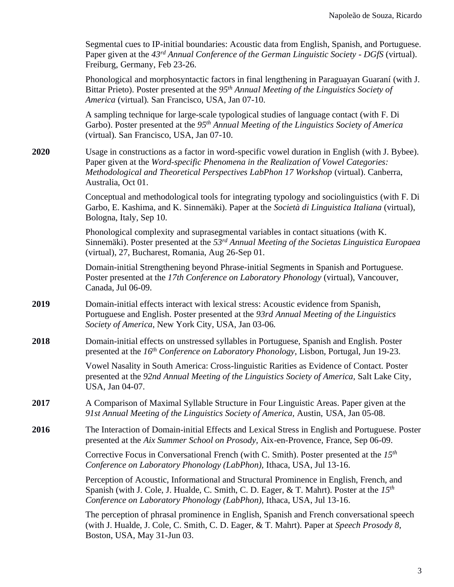Segmental cues to IP-initial boundaries: Acoustic data from English, Spanish, and Portuguese. Paper given at the *43rd Annual Conference of the German Linguistic Society - DGfS* (virtual). Freiburg, Germany, Feb 23-26.

Phonological and morphosyntactic factors in final lengthening in Paraguayan Guaraní (with J. Bittar Prieto). Poster presented at the *95th Annual Meeting of the Linguistics Society of America* (virtual)*.* San Francisco, USA, Jan 07-10.

A sampling technique for large-scale typological studies of language contact (with F. Di Garbo). Poster presented at the *95th Annual Meeting of the Linguistics Society of America* (virtual)*.* San Francisco, USA, Jan 07-10.

**2020** Usage in constructions as a factor in word-specific vowel duration in English (with J. Bybee). Paper given at the *Word-specific Phenomena in the Realization of Vowel Categories: Methodological and Theoretical Perspectives LabPhon 17 Workshop* (virtual). Canberra, Australia, Oct 01.

> Conceptual and methodological tools for integrating typology and sociolinguistics (with F. Di Garbo, E. Kashima, and K. Sinnemäki). Paper at the *Società di Linguistica Italiana* (virtual), Bologna, Italy, Sep 10.

> Phonological complexity and suprasegmental variables in contact situations (with K. Sinnemäki). Poster presented at the *53rd Annual Meeting of the Societas Linguistica Europaea* (virtual), 27, Bucharest, Romania, Aug 26-Sep 01.

Domain-initial Strengthening beyond Phrase-initial Segments in Spanish and Portuguese. Poster presented at the *17th Conference on Laboratory Phonology* (virtual), Vancouver, Canada, Jul 06-09.

- **2019** Domain-initial effects interact with lexical stress: Acoustic evidence from Spanish, Portuguese and English. Poster presented at the *93rd Annual Meeting of the Linguistics Society of America*, New York City, USA, Jan 03-06.
- **2018** Domain-initial effects on unstressed syllables in Portuguese, Spanish and English. Poster presented at the *16th Conference on Laboratory Phonology*, Lisbon, Portugal, Jun 19-23.

Vowel Nasality in South America: Cross-linguistic Rarities as Evidence of Contact. Poster presented at the *92nd Annual Meeting of the Linguistics Society of America,* Salt Lake City, USA, Jan 04-07.

- **2017** A Comparison of Maximal Syllable Structure in Four Linguistic Areas. Paper given at the *91st Annual Meeting of the Linguistics Society of America,* Austin, USA, Jan 05-08.
- **2016** The Interaction of Domain-initial Effects and Lexical Stress in English and Portuguese. Poster presented at the *Aix Summer School on Prosody,* Aix-en-Provence, France, Sep 06-09.

Corrective Focus in Conversational French (with C. Smith). Poster presented at the *15th Conference on Laboratory Phonology (LabPhon),* Ithaca, USA, Jul 13-16.

Perception of Acoustic, Informational and Structural Prominence in English, French, and Spanish (with J. Cole, J. Hualde, C. Smith, C. D. Eager, & T. Mahrt). Poster at the *15th Conference on Laboratory Phonology (LabPhon),* Ithaca, USA, Jul 13-16.

The perception of phrasal prominence in English, Spanish and French conversational speech (with J. Hualde, J. Cole, C. Smith, C. D. Eager, & T. Mahrt). Paper at *Speech Prosody 8*, Boston, USA, May 31-Jun 03.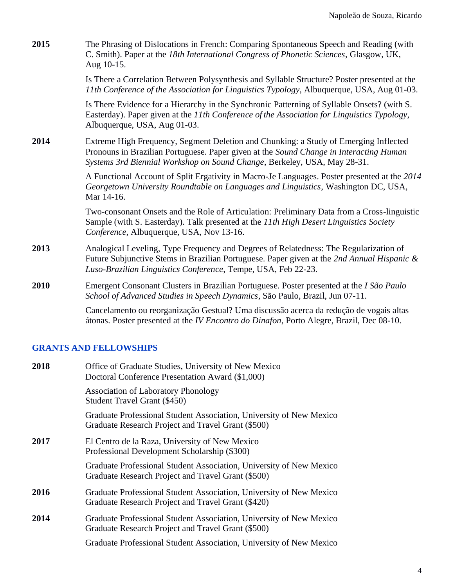| 2015 | The Phrasing of Dislocations in French: Comparing Spontaneous Speech and Reading (with<br>C. Smith). Paper at the 18th International Congress of Phonetic Sciences, Glasgow, UK,<br>Aug 10-15.                                                             |
|------|------------------------------------------------------------------------------------------------------------------------------------------------------------------------------------------------------------------------------------------------------------|
|      | Is There a Correlation Between Polysynthesis and Syllable Structure? Poster presented at the<br>11th Conference of the Association for Linguistics Typology, Albuquerque, USA, Aug 01-03.                                                                  |
|      | Is There Evidence for a Hierarchy in the Synchronic Patterning of Syllable Onsets? (with S.<br>Easterday). Paper given at the 11th Conference of the Association for Linguistics Typology,<br>Albuquerque, USA, Aug 01-03.                                 |
| 2014 | Extreme High Frequency, Segment Deletion and Chunking: a Study of Emerging Inflected<br>Pronouns in Brazilian Portuguese. Paper given at the Sound Change in Interacting Human<br>Systems 3rd Biennial Workshop on Sound Change, Berkeley, USA, May 28-31. |
|      | A Functional Account of Split Ergativity in Macro-Je Languages. Poster presented at the 2014<br>Georgetown University Roundtable on Languages and Linguistics, Washington DC, USA,<br>Mar 14-16.                                                           |
|      | Two-consonant Onsets and the Role of Articulation: Preliminary Data from a Cross-linguistic<br>Sample (with S. Easterday). Talk presented at the 11th High Desert Linguistics Society<br>Conference, Albuquerque, USA, Nov 13-16.                          |
| 2013 | Analogical Leveling, Type Frequency and Degrees of Relatedness: The Regularization of<br>Future Subjunctive Stems in Brazilian Portuguese. Paper given at the 2nd Annual Hispanic &<br>Luso-Brazilian Linguistics Conference, Tempe, USA, Feb 22-23.       |
| 2010 | Emergent Consonant Clusters in Brazilian Portuguese. Poster presented at the I São Paulo<br>School of Advanced Studies in Speech Dynamics, São Paulo, Brazil, Jun 07-11.                                                                                   |
|      | Cancelamento ou reorganização Gestual? Uma discussão acerca da redução de vogais altas<br>átonas. Poster presented at the <i>IV Encontro do Dinafon</i> , Porto Alegre, Brazil, Dec 08-10.                                                                 |

# **GRANTS AND FELLOWSHIPS**

| 2018 | Office of Graduate Studies, University of New Mexico<br>Doctoral Conference Presentation Award (\$1,000)                  |
|------|---------------------------------------------------------------------------------------------------------------------------|
|      | <b>Association of Laboratory Phonology</b><br>Student Travel Grant (\$450)                                                |
|      | Graduate Professional Student Association, University of New Mexico<br>Graduate Research Project and Travel Grant (\$500) |
| 2017 | El Centro de la Raza, University of New Mexico<br>Professional Development Scholarship (\$300)                            |
|      | Graduate Professional Student Association, University of New Mexico<br>Graduate Research Project and Travel Grant (\$500) |
| 2016 | Graduate Professional Student Association, University of New Mexico<br>Graduate Research Project and Travel Grant (\$420) |
| 2014 | Graduate Professional Student Association, University of New Mexico<br>Graduate Research Project and Travel Grant (\$500) |
|      | Graduate Professional Student Association, University of New Mexico                                                       |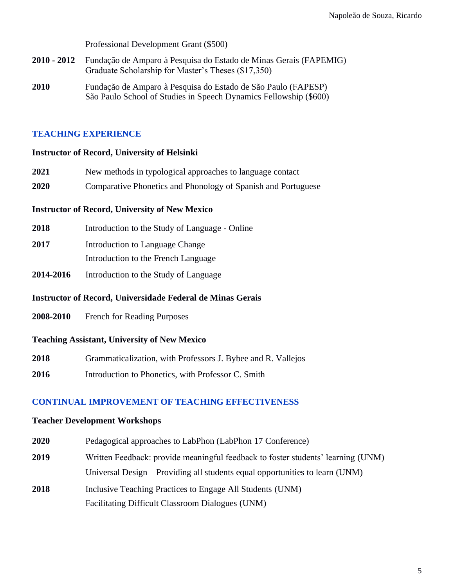Professional Development Grant (\$500)

- **2010 - 2012** Fundação de Amparo à Pesquisa do Estado de Minas Gerais (FAPEMIG) Graduate Scholarship for Master's Theses (\$17,350)
- **2010** Fundação de Amparo à Pesquisa do Estado de São Paulo (FAPESP) São Paulo School of Studies in Speech Dynamics Fellowship (\$600)

#### **TEACHING EXPERIENCE**

#### **Instructor of Record, University of Helsinki**

- **2021** New methods in typological approaches to language contact
- **2020** Comparative Phonetics and Phonology of Spanish and Portuguese

#### **Instructor of Record, University of New Mexico**

- **2018** Introduction to the Study of Language Online
- **2017** Introduction to Language Change Introduction to the French Language
- **2014-2016** Introduction to the Study of Language

#### **Instructor of Record, Universidade Federal de Minas Gerais**

**2008-2010** French for Reading Purposes

## **Teaching Assistant, University of New Mexico**

- **2018** Grammaticalization, with Professors J. Bybee and R. Vallejos
- **2016** Introduction to Phonetics, with Professor C. Smith

## **CONTINUAL IMPROVEMENT OF TEACHING EFFECTIVENESS**

#### **Teacher Development Workshops**

- **2020** Pedagogical approaches to LabPhon (LabPhon 17 Conference) **2019** Written Feedback: provide meaningful feedback to foster students' learning (UNM) Universal Design – Providing all students equal opportunities to learn (UNM)
- **2018** Inclusive Teaching Practices to Engage All Students (UNM) Facilitating Difficult Classroom Dialogues (UNM)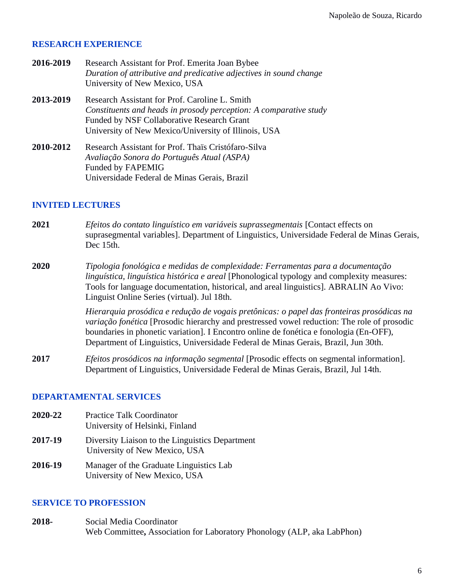#### **RESEARCH EXPERIENCE**

| 2016-2019 | Research Assistant for Prof. Emerita Joan Bybee                    |
|-----------|--------------------------------------------------------------------|
|           | Duration of attributive and predicative adjectives in sound change |
|           | University of New Mexico, USA                                      |
| 2013-2019 | Research Assistant for Prof. Caroline L. Smith                     |
|           | Constituents and heads in prosody perception: A comparative study  |
|           | Funded by NSF Collaborative Research Grant                         |
|           | University of New Mexico/University of Illinois, USA               |
| 2010-2012 | Research Assistant for Prof. Thais Cristófaro-Silva                |
|           | Avaliação Sonora do Português Atual (ASPA)                         |
|           | <b>Funded by FAPEMIG</b>                                           |

Universidade Federal de Minas Gerais, Brazil

#### **INVITED LECTURES**

- **2021** *Efeitos do contato linguístico em variáveis suprassegmentais* [Contact effects on suprasegmental variables]. Department of Linguistics, Universidade Federal de Minas Gerais, Dec 15th.
- **2020** *Tipologia fonológica e medidas de complexidade: Ferramentas para a documentação linguística, linguística histórica e areal* [Phonological typology and complexity measures: Tools for language documentation, historical, and areal linguistics]. ABRALIN Ao Vivo: Linguist Online Series (virtual). Jul 18th.

*Hierarquia prosódica e redução de vogais pretônicas: o papel das fronteiras prosódicas na variação fonética* [Prosodic hierarchy and prestressed vowel reduction: The role of prosodic boundaries in phonetic variation]. I Encontro online de fonética e fonologia (En-OFF), Department of Linguistics, Universidade Federal de Minas Gerais, Brazil, Jun 30th.

**2017** *Efeitos prosódicos na informação segmental* [Prosodic effects on segmental information]. Department of Linguistics, Universidade Federal de Minas Gerais, Brazil, Jul 14th.

# **DEPARTAMENTAL SERVICES**

**2020-22** Practice Talk Coordinator University of Helsinki, Finland **2017-19** Diversity Liaison to the Linguistics Department University of New Mexico, USA **2016-19** Manager of the Graduate Linguistics Lab University of New Mexico, USA

# **SERVICE TO PROFESSION**

**2018-** Social Media Coordinator Web Committee**,** Association for Laboratory Phonology (ALP, aka LabPhon)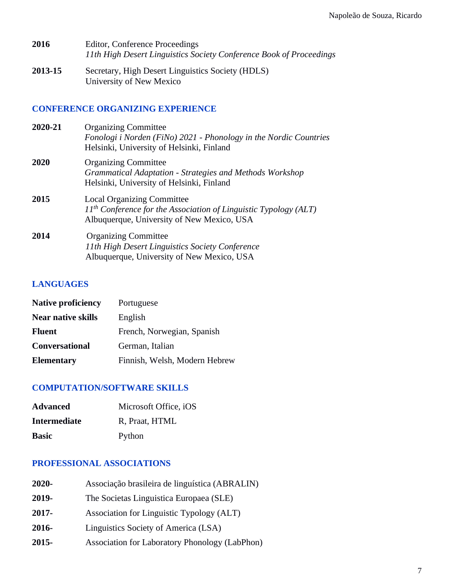- **2016** Editor, Conference Proceedings *11th High Desert Linguistics Society Conference Book of Proceedings*
- **2013-15** Secretary, High Desert Linguistics Society (HDLS) University of New Mexico

## **CONFERENCE ORGANIZING EXPERIENCE**

| 2020-21 | <b>Organizing Committee</b><br>Fonologi i Norden (FiNo) 2021 - Phonology in the Nordic Countries<br>Helsinki, University of Helsinki, Finland         |
|---------|-------------------------------------------------------------------------------------------------------------------------------------------------------|
| 2020    | <b>Organizing Committee</b><br>Grammatical Adaptation - Strategies and Methods Workshop<br>Helsinki, University of Helsinki, Finland                  |
| 2015    | <b>Local Organizing Committee</b><br>$11th$ Conference for the Association of Linguistic Typology (ALT)<br>Albuquerque, University of New Mexico, USA |
| 2014    | <b>Organizing Committee</b><br>11th High Desert Linguistics Society Conference<br>Albuquerque, University of New Mexico, USA                          |

# **LANGUAGES**

| <b>Native proficiency</b> | Portuguese                    |
|---------------------------|-------------------------------|
| <b>Near native skills</b> | English                       |
| <b>Fluent</b>             | French, Norwegian, Spanish    |
| <b>Conversational</b>     | German, Italian               |
| <b>Elementary</b>         | Finnish, Welsh, Modern Hebrew |

# **COMPUTATION/SOFTWARE SKILLS**

| <b>Advanced</b>     | Microsoft Office, iOS |
|---------------------|-----------------------|
| <b>Intermediate</b> | R, Praat, HTML        |
| <b>Basic</b>        | Python                |

# **PROFESSIONAL ASSOCIATIONS**

| 2020-    | Associação brasileira de linguística (ABRALIN) |
|----------|------------------------------------------------|
| 2019-    | The Societas Linguistica Europaea (SLE)        |
| $2017 -$ | Association for Linguistic Typology (ALT)      |
| 2016-    | Linguistics Society of America (LSA)           |
| $2015 -$ | Association for Laboratory Phonology (LabPhon) |